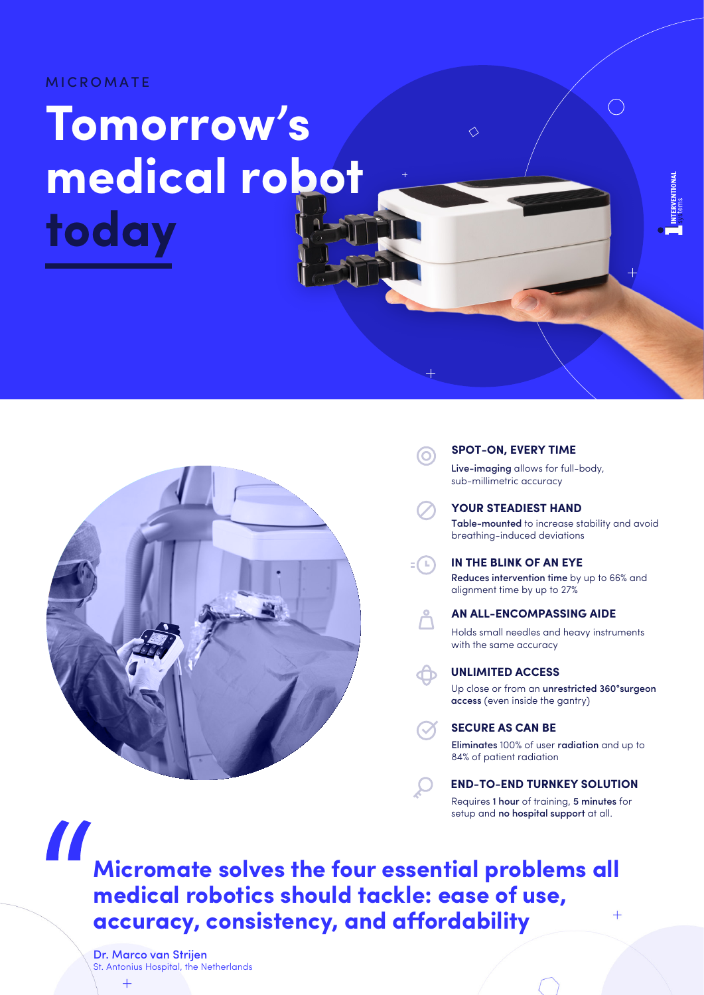MICROMATE

# **Tomorrow's medical robot today**



#### **SPOT-ON, EVERY TIME**

 $\Diamond$ 

Live-imaging allows for full-body, sub-millimetric accuracy

**YOUR STEADIEST HAND**

Table-mounted to increase stability and avoid breathing-induced deviations

 $=$   $\bigcap$ **IN THE BLINK OF AN EYE**

(O)

### Reduces intervention time by up to 66% and

alignment time by up to 27%

# **AN ALL-ENCOMPASSING AIDE**

Holds small needles and heavy instruments with the same accuracy

**UNLIMITED ACCESS**

Up close or from an unrestricted 360°surgeon access (even inside the gantry)

**SECURE AS CAN BE**

Eliminates 100% of user radiation and up to 84% of patient radiation

# **END-TO-END TURNKEY SOLUTION**

Requires 1 hour of training, 5 minutes for setup and no hospital support at all.

**Micromate solves the four essential problems all medical robotics should tackle: ease of use,**   $\ddot{}$ **accuracy, consistency, and affordability** 

Dr. Marco van Strijen St. Antonius Hospital, the Netherlands

 $+$